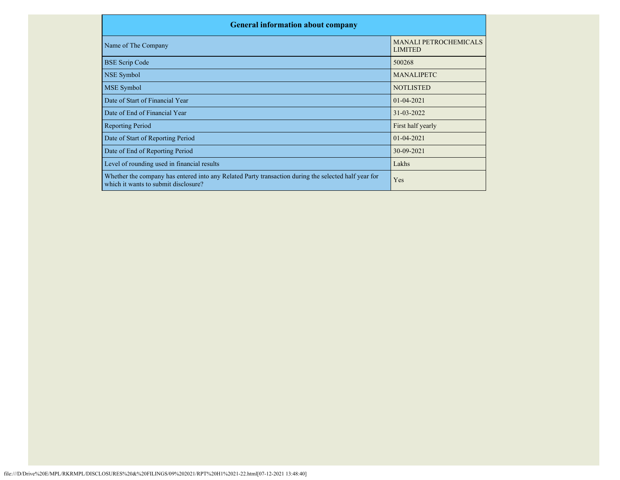| <b>General information about company</b>                                                                                                     |                                                |  |  |  |  |  |  |
|----------------------------------------------------------------------------------------------------------------------------------------------|------------------------------------------------|--|--|--|--|--|--|
| Name of The Company                                                                                                                          | <b>MANALI PETROCHEMICALS</b><br><b>LIMITED</b> |  |  |  |  |  |  |
| <b>BSE Scrip Code</b>                                                                                                                        | 500268                                         |  |  |  |  |  |  |
| NSE Symbol                                                                                                                                   | <b>MANALIPETC</b>                              |  |  |  |  |  |  |
| <b>MSE</b> Symbol                                                                                                                            | <b>NOTLISTED</b>                               |  |  |  |  |  |  |
| Date of Start of Financial Year                                                                                                              | $01 - 04 - 2021$                               |  |  |  |  |  |  |
| Date of End of Financial Year                                                                                                                | 31-03-2022                                     |  |  |  |  |  |  |
| <b>Reporting Period</b>                                                                                                                      | First half yearly                              |  |  |  |  |  |  |
| Date of Start of Reporting Period                                                                                                            | $01 - 04 - 2021$                               |  |  |  |  |  |  |
| Date of End of Reporting Period                                                                                                              | 30-09-2021                                     |  |  |  |  |  |  |
| Level of rounding used in financial results                                                                                                  | Lakhs                                          |  |  |  |  |  |  |
| Whether the company has entered into any Related Party transaction during the selected half year for<br>which it wants to submit disclosure? | Yes                                            |  |  |  |  |  |  |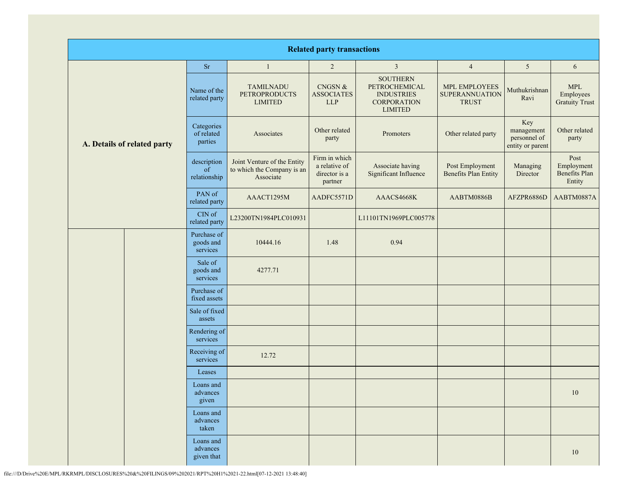| <b>Related party transactions</b> |                                      |                                                                        |                                                            |                                                                                               |                                                        |                                                       |                                                  |  |
|-----------------------------------|--------------------------------------|------------------------------------------------------------------------|------------------------------------------------------------|-----------------------------------------------------------------------------------------------|--------------------------------------------------------|-------------------------------------------------------|--------------------------------------------------|--|
|                                   | <b>Sr</b>                            | $\mathbf{1}$                                                           | $\overline{2}$                                             | $\mathfrak{Z}$                                                                                | $\overline{4}$                                         | $5\overline{)}$                                       | 6                                                |  |
| A. Details of related party       | Name of the<br>related party         | <b>TAMILNADU</b><br><b>PETROPRODUCTS</b><br><b>LIMITED</b>             | CNGSN &<br><b>ASSOCIATES</b><br><b>LLP</b>                 | <b>SOUTHERN</b><br>PETROCHEMICAL<br><b>INDUSTRIES</b><br><b>CORPORATION</b><br><b>LIMITED</b> | MPL EMPLOYEES<br><b>SUPERANNUATION</b><br><b>TRUST</b> | Muthukrishnan<br>Ravi                                 | <b>MPL</b><br>Employees<br><b>Gratuity Trust</b> |  |
|                                   | Categories<br>of related<br>parties  | Associates                                                             | Other related<br>party                                     | Promoters                                                                                     | Other related party                                    | Key<br>management<br>personnel of<br>entity or parent | Other related<br>party                           |  |
|                                   | description<br>of<br>relationship    | Joint Venture of the Entity<br>to which the Company is an<br>Associate | Firm in which<br>a relative of<br>director is a<br>partner | Associate having<br>Significant Influence                                                     | Post Employment<br><b>Benefits Plan Entity</b>         | Managing<br>Director                                  | Post<br>Employment<br>Benefits Plan<br>Entity    |  |
|                                   | PAN of<br>related party              | AAACT1295M                                                             | AADFC5571D                                                 | AAACS4668K                                                                                    | AABTM0886B                                             | AFZPR6886D                                            | AABTM0887A                                       |  |
|                                   | CIN of<br>related party              | L23200TN1984PLC010931                                                  |                                                            | L11101TN1969PLC005778                                                                         |                                                        |                                                       |                                                  |  |
|                                   | Purchase of<br>goods and<br>services | 10444.16                                                               | 1.48                                                       | 0.94                                                                                          |                                                        |                                                       |                                                  |  |
|                                   | Sale of<br>goods and<br>services     | 4277.71                                                                |                                                            |                                                                                               |                                                        |                                                       |                                                  |  |
|                                   | Purchase of<br>fixed assets          |                                                                        |                                                            |                                                                                               |                                                        |                                                       |                                                  |  |
|                                   | Sale of fixed<br>assets              |                                                                        |                                                            |                                                                                               |                                                        |                                                       |                                                  |  |
|                                   | Rendering of<br>services             |                                                                        |                                                            |                                                                                               |                                                        |                                                       |                                                  |  |
|                                   | Receiving of<br>services             | 12.72                                                                  |                                                            |                                                                                               |                                                        |                                                       |                                                  |  |
|                                   | Leases                               |                                                                        |                                                            |                                                                                               |                                                        |                                                       |                                                  |  |
|                                   | Loans and<br>advances<br>given       |                                                                        |                                                            |                                                                                               |                                                        |                                                       | $10\,$                                           |  |
|                                   | Loans and<br>advances<br>taken       |                                                                        |                                                            |                                                                                               |                                                        |                                                       |                                                  |  |
|                                   | Loans and<br>advances<br>given that  |                                                                        |                                                            |                                                                                               |                                                        |                                                       | 10                                               |  |

file:///D/Drive%20E/MPL/RKRMPL/DISCLOSURES%20&%20FILINGS/09%202021/RPT%20H1%2021-22.html[07-12-2021 13:48:40]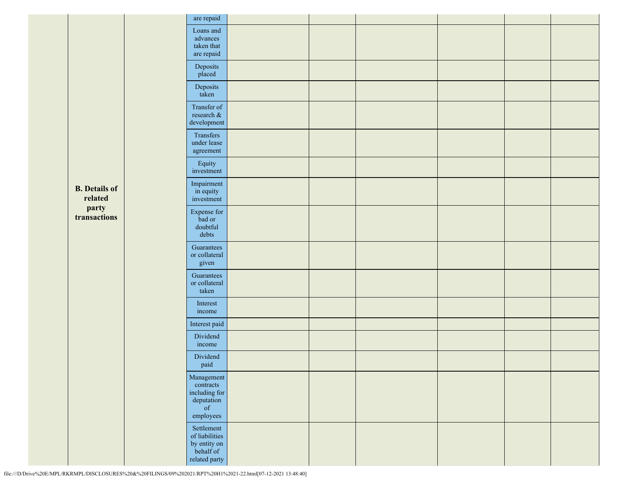|  |                                 |                                                   | are repaid                                                                                                                                 |  |  |  |
|--|---------------------------------|---------------------------------------------------|--------------------------------------------------------------------------------------------------------------------------------------------|--|--|--|
|  |                                 | Loans and<br>advances<br>taken that<br>are repaid |                                                                                                                                            |  |  |  |
|  |                                 |                                                   | Deposits<br>placed                                                                                                                         |  |  |  |
|  |                                 |                                                   | Deposits<br>taken                                                                                                                          |  |  |  |
|  |                                 | Transfer of<br>research &<br>development          |                                                                                                                                            |  |  |  |
|  |                                 |                                                   | Transfers<br>under lease<br>agreement                                                                                                      |  |  |  |
|  |                                 |                                                   | Equity<br>investment                                                                                                                       |  |  |  |
|  | <b>B.</b> Details of<br>related |                                                   | Impairment<br>in equity<br>investment                                                                                                      |  |  |  |
|  | party<br>transactions           |                                                   | Expense for<br>bad or<br>doubtful<br>debts                                                                                                 |  |  |  |
|  |                                 |                                                   | Guarantees<br>or collateral<br>given                                                                                                       |  |  |  |
|  |                                 |                                                   | Guarantees<br>or collateral<br>taken                                                                                                       |  |  |  |
|  |                                 |                                                   | Interest<br>income                                                                                                                         |  |  |  |
|  |                                 |                                                   | Interest paid                                                                                                                              |  |  |  |
|  |                                 |                                                   | Dividend<br>income                                                                                                                         |  |  |  |
|  |                                 |                                                   | Dividend<br>paid                                                                                                                           |  |  |  |
|  |                                 |                                                   | Management<br>contracts<br>including for<br>$\begin{minipage}{.4\linewidth} \textbf{deviation} \\ \textbf{of} \end{minipage}$<br>employees |  |  |  |
|  |                                 |                                                   | Settlement<br>of liabilities<br>by entity on<br>behalf of<br>$\operatorname{related\ party}$                                               |  |  |  |

file:///D/Drive%20E/MPL/RKRMPL/DISCLOSURES%20&%20FILINGS/09%202021/RPT%20H1%2021-22.html[07-12-2021 13:48:40]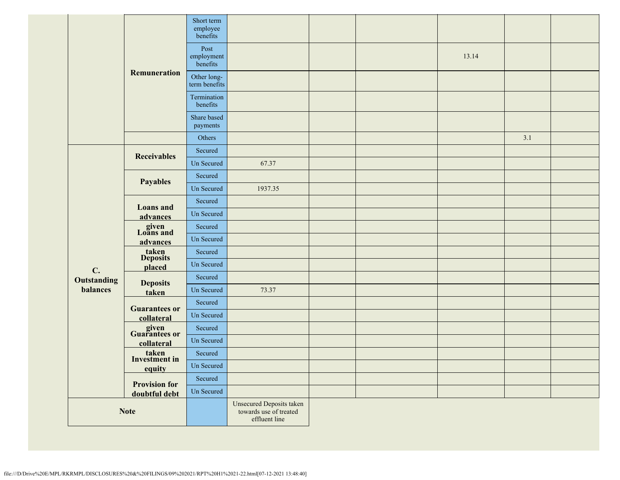|             |                                      | Short term<br>employee<br>benefits |                                                                     |  |       |     |  |
|-------------|--------------------------------------|------------------------------------|---------------------------------------------------------------------|--|-------|-----|--|
|             | Remuneration                         | Post<br>employment<br>benefits     |                                                                     |  | 13.14 |     |  |
|             |                                      | Other long-<br>term benefits       |                                                                     |  |       |     |  |
|             |                                      | Termination<br>benefits            |                                                                     |  |       |     |  |
|             |                                      | Share based<br>payments            |                                                                     |  |       |     |  |
|             |                                      | Others                             |                                                                     |  |       | 3.1 |  |
|             | <b>Receivables</b>                   | Secured                            |                                                                     |  |       |     |  |
|             |                                      | Un Secured                         | 67.37                                                               |  |       |     |  |
|             | <b>Payables</b>                      | Secured                            |                                                                     |  |       |     |  |
|             | <b>Loans</b> and                     | Un Secured                         | 1937.35                                                             |  |       |     |  |
|             |                                      | Secured                            |                                                                     |  |       |     |  |
|             | advances                             | Un Secured                         |                                                                     |  |       |     |  |
|             | given<br>Loans and<br>advances       | Secured                            |                                                                     |  |       |     |  |
|             |                                      | <b>Un Secured</b>                  |                                                                     |  |       |     |  |
|             | taken<br>Deposits<br>placed          | Secured                            |                                                                     |  |       |     |  |
| C.          |                                      | Un Secured                         |                                                                     |  |       |     |  |
| Outstanding | <b>Deposits</b>                      | Secured                            |                                                                     |  |       |     |  |
| balances    | taken                                | Un Secured                         | 73.37                                                               |  |       |     |  |
|             | <b>Guarantees or</b><br>collateral   | Secured                            |                                                                     |  |       |     |  |
|             |                                      | <b>Un Secured</b>                  |                                                                     |  |       |     |  |
|             | given<br>Guarantees or<br>collateral | Secured                            |                                                                     |  |       |     |  |
|             |                                      | Un Secured                         |                                                                     |  |       |     |  |
|             | taken<br>Investment in<br>equity     | Secured                            |                                                                     |  |       |     |  |
|             |                                      | Un Secured                         |                                                                     |  |       |     |  |
|             | <b>Provision for</b>                 | Secured                            |                                                                     |  |       |     |  |
|             | doubtful debt                        | Un Secured                         |                                                                     |  |       |     |  |
| <b>Note</b> |                                      |                                    | Unsecured Deposits taken<br>towards use of treated<br>effluent line |  |       |     |  |